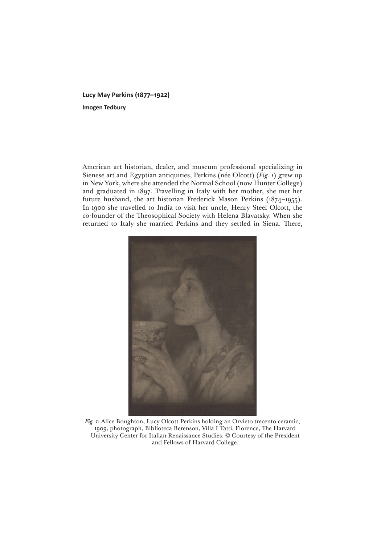**Lucy May Perkins (1877–1922) Imogen Tedbury**

American art historian, dealer, and museum professional specializing in Sienese art and Egyptian antiquities, Perkins (née Olcott) (*Fig. 1*) grew up in New York, where she attended the Normal School (now Hunter College) and graduated in 1897. Travelling in Italy with her mother, she met her future husband, the art historian Frederick Mason Perkins (1874–1955). In 1900 she travelled to India to visit her uncle, Henry Steel Olcott, the co-founder of the Theosophical Society with Helena Blavatsky. When she returned to Italy she married Perkins and they settled in Siena. There,



*Fig. 1*: Alice Boughton, Lucy Olcott Perkins holding an Orvieto trecento ceramic, 1909, photograph, Biblioteca Berenson, Villa I Tatti, Florence, The Harvard University Center for Italian Renaissance Studies. © Courtesy of the President and Fellows of Harvard College.